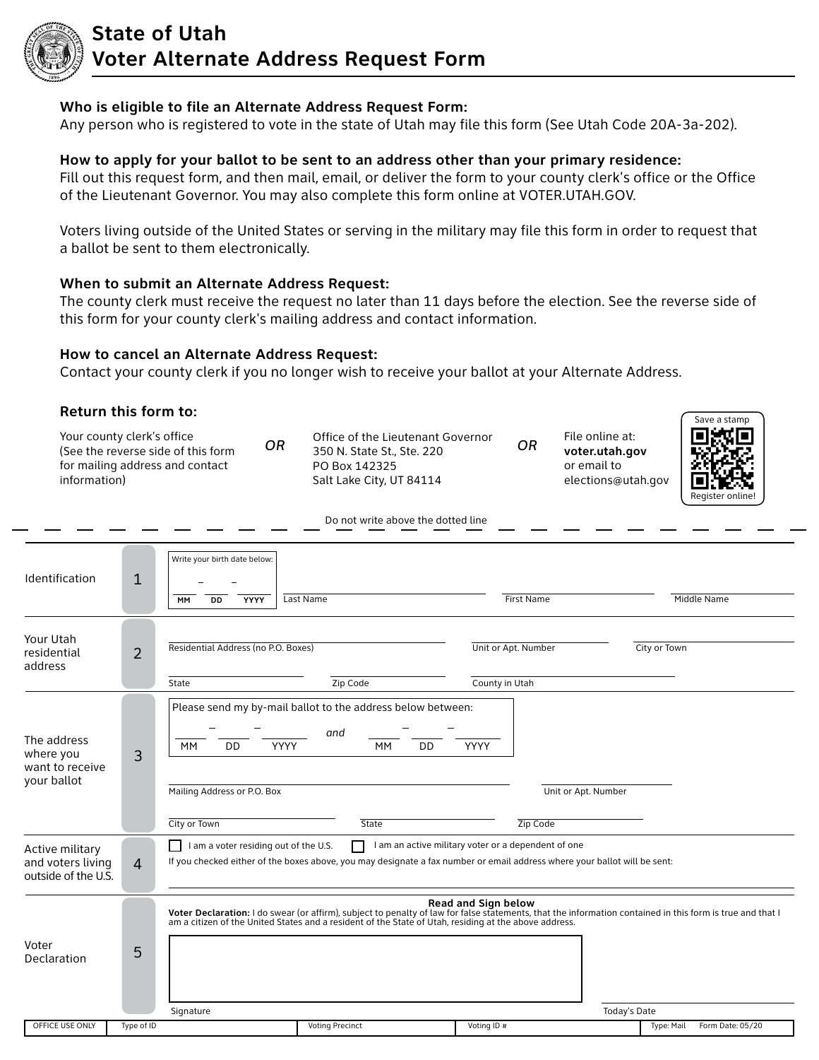

## **State of Utah Voter Alternate Address Request Form**

### **Who is eligible to file an Alternate Address Request Form:**

Any person who is registered to vote in the state of Utah may file this form (See Utah Code 20A-3a-202).

### **How to apply for your ballot to be sent to an address other than your primary residence:**

Fill out this request form, and then mail, email, or deliver the form to your county clerk's office or the Office of the Lieutenant Governor. You may also complete this form online at VOTER.UTAH.GOV.

Voters living outside of the United States or serving in the military may file this form in order to request that a ballot be sent to them electronically.

### **When to submit an Alternate Address Request:**

The county clerk must receive the request no later than 11 days before the election. See the reverse side of this form for your county clerk's mailing address and contact information.

### **How to cancel an Alternate Address Request:**

Contact your county clerk if you no longer wish to receive your ballot at your Alternate Address.

| Return this form to:                                        |                |                                                                                                                                                                                                                                                                                 |                                       |                                                                        | Save a stamp    |  |  |
|-------------------------------------------------------------|----------------|---------------------------------------------------------------------------------------------------------------------------------------------------------------------------------------------------------------------------------------------------------------------------------|---------------------------------------|------------------------------------------------------------------------|-----------------|--|--|
| Your county clerk's office<br>information)                  |                | Office of the Lieutenant Governor<br><b>OR</b><br>(See the reverse side of this form<br>350 N. State St., Ste. 220<br>for mailing address and contact<br>PO Box 142325<br>Salt Lake City, UT 84114                                                                              | OR                                    | File online at:<br>voter.utah.gov<br>or email to<br>elections@utah.gov | Register online |  |  |
|                                                             |                | Do not write above the dotted line                                                                                                                                                                                                                                              |                                       |                                                                        |                 |  |  |
| Identification                                              | 1              | Write your birth date below:<br>Last Name<br><b>YYYY</b><br>DD<br>MM                                                                                                                                                                                                            | First Name                            |                                                                        | Middle Name     |  |  |
| Your Utah<br>residential<br>address                         | $\overline{2}$ | Residential Address (no P.O. Boxes)<br>State<br>Zip Code                                                                                                                                                                                                                        | Unit or Apt. Number<br>County in Utah | City or Town                                                           |                 |  |  |
| The address<br>where you<br>want to receive<br>your ballot  | 3              | Please send my by-mail ballot to the address below between:<br>and<br>DD<br>MM<br>DD<br>MM<br>YYYY<br>Mailing Address or P.O. Box<br>City or Town<br>State                                                                                                                      | YYYY<br>Zip Code                      | Unit or Apt. Number                                                    |                 |  |  |
| Active military<br>and voters living<br>outside of the U.S. | $\overline{4}$ | I am a voter residing out of the U.S.<br>I am an active military voter or a dependent of one<br>If you checked either of the boxes above, you may designate a fax number or email address where your ballot will be sent:                                                       |                                       |                                                                        |                 |  |  |
| Voter<br>Declaration                                        | 5              | Voter Declaration: I do swear (or affirm), subject to penalty of law for false statements, that the information contained in this form is true and that I<br>am a citizen of the United States and a resident of the State of Utah, residing at the above address.<br>Signature | Read and Sign below                   | Today's Date                                                           |                 |  |  |

OFFICE USE ONLY Type of ID The State of Type: Mail Form Date: 05/20